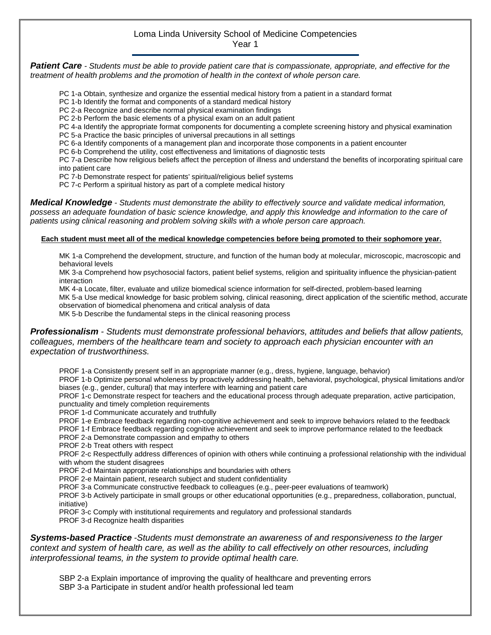## Loma Linda University School of Medicine Competencies Year 1

*Patient Care - Students must be able to provide patient care that is compassionate, appropriate, and effective for the treatment of health problems and the promotion of health in the context of whole person care.*

- PC 1-a Obtain, synthesize and organize the essential medical history from a patient in a standard format
- PC 1-b Identify the format and components of a standard medical history
- PC 2-a Recognize and describe normal physical examination findings
- PC 2-b Perform the basic elements of a physical exam on an adult patient
- PC 4-a Identify the appropriate format components for documenting a complete screening history and physical examination
- PC 5-a Practice the basic principles of universal precautions in all settings
- PC 6-a Identify components of a management plan and incorporate those components in a patient encounter
- PC 6-b Comprehend the utility, cost effectiveness and limitations of diagnostic tests

PC 7-a Describe how religious beliefs affect the perception of illness and understand the benefits of incorporating spiritual care into patient care

PC 7-b Demonstrate respect for patients' spiritual/religious belief systems

PC 7-c Perform a spiritual history as part of a complete medical history

*Medical Knowledge - Students must demonstrate the ability to effectively source and validate medical information, possess an adequate foundation of basic science knowledge, and apply this knowledge and information to the care of patients using clinical reasoning and problem solving skills with a whole person care approach.*

## **Each student must meet all of the medical knowledge competencies before being promoted to their sophomore year.**

MK 1-a Comprehend the development, structure, and function of the human body at molecular, microscopic, macroscopic and behavioral levels

MK 3-a Comprehend how psychosocial factors, patient belief systems, religion and spirituality influence the physician-patient interaction

MK 4-a Locate, filter, evaluate and utilize biomedical science information for self-directed, problem-based learning

MK 5-a Use medical knowledge for basic problem solving, clinical reasoning, direct application of the scientific method, accurate observation of biomedical phenomena and critical analysis of data

MK 5-b Describe the fundamental steps in the clinical reasoning process

*Professionalism - Students must demonstrate professional behaviors, attitudes and beliefs that allow patients, colleagues, members of the healthcare team and society to approach each physician encounter with an expectation of trustworthiness.*

PROF 1-a Consistently present self in an appropriate manner (e.g., dress, hygiene, language, behavior)

PROF 1-b Optimize personal wholeness by proactively addressing health, behavioral, psychological, physical limitations and/or biases (e.g., gender, cultural) that may interfere with learning and patient care

PROF 1-c Demonstrate respect for teachers and the educational process through adequate preparation, active participation, punctuality and timely completion requirements

- PROF 1-d Communicate accurately and truthfully
- PROF 1-e Embrace feedback regarding non-cognitive achievement and seek to improve behaviors related to the feedback

PROF 1-f Embrace feedback regarding cognitive achievement and seek to improve performance related to the feedback

PROF 2-a Demonstrate compassion and empathy to others

PROF 2-b Treat others with respect

PROF 2-c Respectfully address differences of opinion with others while continuing a professional relationship with the individual with whom the student disagrees

PROF 2-d Maintain appropriate relationships and boundaries with others

PROF 2-e Maintain patient, research subject and student confidentiality

PROF 3-a Communicate constructive feedback to colleagues (e.g., peer-peer evaluations of teamwork)

PROF 3-b Actively participate in small groups or other educational opportunities (e.g., preparedness, collaboration, punctual, initiative)

PROF 3-c Comply with institutional requirements and regulatory and professional standards PROF 3-d Recognize health disparities

*Systems-based Practice -Students must demonstrate an awareness of and responsiveness to the larger context and system of health care, as well as the ability to call effectively on other resources, including interprofessional teams, in the system to provide optimal health care.*

SBP 2-a Explain importance of improving the quality of healthcare and preventing errors SBP 3-a Participate in student and/or health professional led team